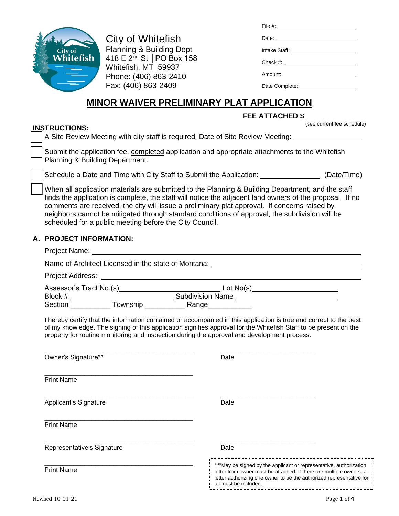

City of Whitefish Planning & Building Dept 418 E 2nd St │PO Box 158 Whitefish, MT 59937 Phone: (406) 863-2410 Fax: (406) 863-2409

| File #: $\frac{1}{2}$ = $\frac{1}{2}$ = $\frac{1}{2}$ = $\frac{1}{2}$ = $\frac{1}{2}$ = $\frac{1}{2}$ = $\frac{1}{2}$ = $\frac{1}{2}$ = $\frac{1}{2}$ = $\frac{1}{2}$ = $\frac{1}{2}$ = $\frac{1}{2}$ = $\frac{1}{2}$ = $\frac{1}{2}$ = $\frac{1}{2}$ = $\frac{1}{2}$ = $\frac{1}{2}$ = $\frac{1}{2}$ |  |
|-------------------------------------------------------------------------------------------------------------------------------------------------------------------------------------------------------------------------------------------------------------------------------------------------------|--|
| Date:                                                                                                                                                                                                                                                                                                 |  |
|                                                                                                                                                                                                                                                                                                       |  |
|                                                                                                                                                                                                                                                                                                       |  |
| Amount: ________________________                                                                                                                                                                                                                                                                      |  |
| Date Complete:                                                                                                                                                                                                                                                                                        |  |

# **MINOR WAIVER PRELIMINARY PLAT APPLICATION**

# **FEE ATTACHED \$ \_\_\_\_\_\_\_\_\_\_\_\_\_\_\_**

#### **INSTRUCTIONS:**

(see current fee schedule)

A Site Review Meeting with city staff is required. Date of Site Review Meeting: Submit the application fee, completed application and appropriate attachments to the Whitefish

Planning & Building Department.

Schedule a Date and Time with City Staff to Submit the Application: (Date/Time)

When all application materials are submitted to the Planning & Building Department, and the staff finds the application is complete, the staff will notice the adjacent land owners of the proposal. If no comments are received, the city will issue a preliminary plat approval. If concerns raised by neighbors cannot be mitigated through standard conditions of approval, the subdivision will be scheduled for a public meeting before the City Council.

# **A. PROJECT INFORMATION:**

| Name of Architect Licensed in the state of Montana: |                                |  |
|-----------------------------------------------------|--------------------------------|--|
| Project Address:                                    |                                |  |
| Assessor's Tract No.(s)                             | Lot No(s)_____________________ |  |
| Block #                                             | <b>Subdivision Name</b>        |  |
| Section<br>Township                                 | Range__                        |  |

I hereby certify that the information contained or accompanied in this application is true and correct to the best of my knowledge. The signing of this application signifies approval for the Whitefish Staff to be present on the property for routine monitoring and inspection during the approval and development process.

| Owner's Signature**        | Date                                                                                                                                                                                                                                       |
|----------------------------|--------------------------------------------------------------------------------------------------------------------------------------------------------------------------------------------------------------------------------------------|
| <b>Print Name</b>          |                                                                                                                                                                                                                                            |
| Applicant's Signature      | Date                                                                                                                                                                                                                                       |
| <b>Print Name</b>          |                                                                                                                                                                                                                                            |
| Representative's Signature | Date                                                                                                                                                                                                                                       |
| <b>Print Name</b>          | ** May be signed by the applicant or representative, authorization<br>letter from owner must be attached. If there are multiple owners, a<br>letter authorizing one owner to be the authorized representative for<br>all must be included. |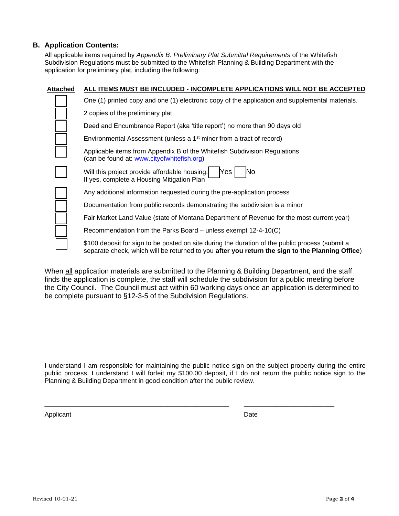#### **B. Application Contents:**

All applicable items required by *Appendix B: Preliminary Plat Submittal Requirements* of the Whitefish Subdivision Regulations must be submitted to the Whitefish Planning & Building Department with the application for preliminary plat, including the following:

| Attached | ALL ITEMS MUST BE INCLUDED - INCOMPLETE APPLICATIONS WILL NOT BE ACCEPTED                                                                                                                          |
|----------|----------------------------------------------------------------------------------------------------------------------------------------------------------------------------------------------------|
|          | One (1) printed copy and one (1) electronic copy of the application and supplemental materials.                                                                                                    |
|          | 2 copies of the preliminary plat                                                                                                                                                                   |
|          | Deed and Encumbrance Report (aka 'title report') no more than 90 days old                                                                                                                          |
|          | Environmental Assessment (unless a 1 <sup>st</sup> minor from a tract of record)                                                                                                                   |
|          | Applicable items from Appendix B of the Whitefish Subdivision Regulations<br>(can be found at: www.cityofwhitefish.org)                                                                            |
|          | Will this project provide affordable housing:<br>Yes<br>No<br>If yes, complete a Housing Mitigation Plan                                                                                           |
|          | Any additional information requested during the pre-application process                                                                                                                            |
|          | Documentation from public records demonstrating the subdivision is a minor                                                                                                                         |
|          | Fair Market Land Value (state of Montana Department of Revenue for the most current year)                                                                                                          |
|          | Recommendation from the Parks Board – unless exempt 12-4-10(C)                                                                                                                                     |
|          | \$100 deposit for sign to be posted on site during the duration of the public process (submit a<br>separate check, which will be returned to you after you return the sign to the Planning Office) |

When all application materials are submitted to the Planning & Building Department, and the staff finds the application is complete, the staff will schedule the subdivision for a public meeting before the City Council. The Council must act within 60 working days once an application is determined to be complete pursuant to §12-3-5 of the Subdivision Regulations.

I understand I am responsible for maintaining the public notice sign on the subject property during the entire public process. I understand I will forfeit my \$100.00 deposit, if I do not return the public notice sign to the Planning & Building Department in good condition after the public review.

\_\_\_\_\_\_\_\_\_\_\_\_\_\_\_\_\_\_\_\_\_\_\_\_\_\_\_\_\_\_\_\_\_\_\_\_\_\_\_\_\_\_\_\_\_\_\_\_\_\_\_ \_\_\_\_\_\_\_\_\_\_\_\_\_\_\_\_\_\_\_\_\_\_\_\_\_

Applicant Date **Date**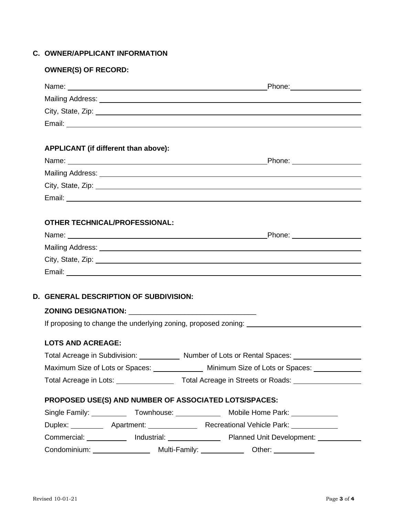# **C. OWNER/APPLICANT INFORMATION**

# **OWNER(S) OF RECORD:**

| APPLICANT (if different than above):                  |                                                                                                                                                                                                                                |
|-------------------------------------------------------|--------------------------------------------------------------------------------------------------------------------------------------------------------------------------------------------------------------------------------|
|                                                       | Name: Name: Name: Name: Name: Name: Name: Name: Name: Name: Name: Name: Name: Name: Name: Name: Name: Name: Name: Name: Name: Name: Name: Name: Name: Name: Name: Name: Name: Name: Name: Name: Name: Name: Name: Name: Name:  |
|                                                       |                                                                                                                                                                                                                                |
|                                                       | City, State, Zip: 2008. Experience of the state of the state of the state of the state of the state of the state of the state of the state of the state of the state of the state of the state of the state of the state of th |
|                                                       |                                                                                                                                                                                                                                |
|                                                       |                                                                                                                                                                                                                                |
| <b>OTHER TECHNICAL/PROFESSIONAL:</b>                  |                                                                                                                                                                                                                                |
|                                                       |                                                                                                                                                                                                                                |
|                                                       |                                                                                                                                                                                                                                |
|                                                       | City, State, Zip: 2008. Experience of the State of Table 1999. The State of Table 2009. The State of Table 200                                                                                                                 |
|                                                       |                                                                                                                                                                                                                                |
|                                                       |                                                                                                                                                                                                                                |
| <b>D. GENERAL DESCRIPTION OF SUBDIVISION:</b>         |                                                                                                                                                                                                                                |
|                                                       |                                                                                                                                                                                                                                |
|                                                       |                                                                                                                                                                                                                                |
|                                                       |                                                                                                                                                                                                                                |
| <b>LOTS AND ACREAGE:</b>                              |                                                                                                                                                                                                                                |
|                                                       | Total Acreage in Subdivision: Number of Lots or Rental Spaces: Number of Lots or Rental Spaces:                                                                                                                                |
| Maximum Size of Lots or Spaces:                       | Minimum Size of Lots or Spaces:                                                                                                                                                                                                |
|                                                       |                                                                                                                                                                                                                                |
| PROPOSED USE(S) AND NUMBER OF ASSOCIATED LOTS/SPACES: |                                                                                                                                                                                                                                |
|                                                       |                                                                                                                                                                                                                                |
|                                                       | Duplex: ____________ Apartment: __________________ Recreational Vehicle Park: _____________                                                                                                                                    |
|                                                       | Commercial: ____________ Industrial: ________________ Planned Unit Development: __________                                                                                                                                     |
|                                                       |                                                                                                                                                                                                                                |